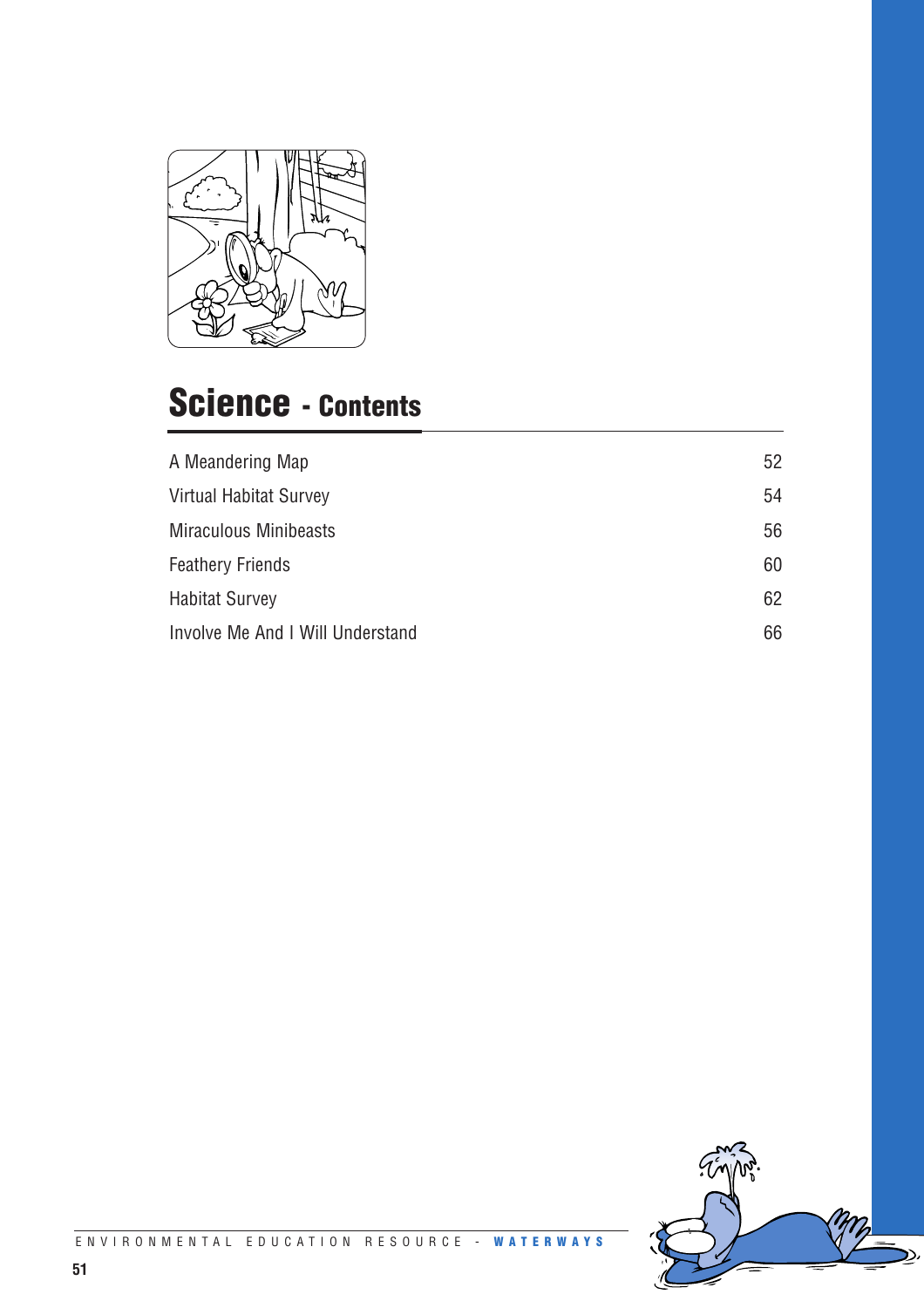

### **Science - Contents**

| A Meandering Map                 | 52 |
|----------------------------------|----|
| <b>Virtual Habitat Survey</b>    | 54 |
| <b>Miraculous Minibeasts</b>     | 56 |
| <b>Feathery Friends</b>          | 60 |
| <b>Habitat Survey</b>            | 62 |
| Involve Me And I Will Understand | 66 |

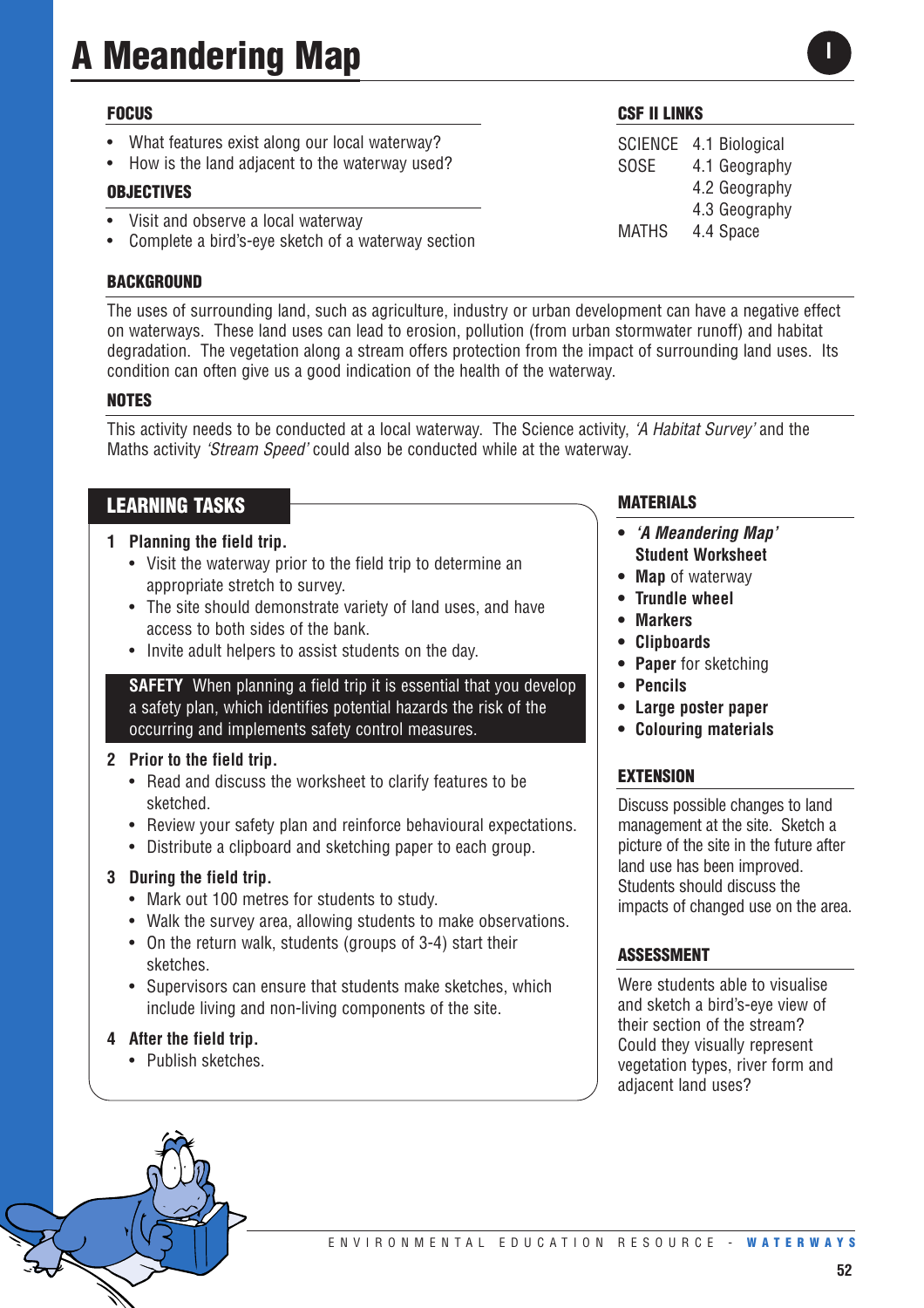# **A Meandering Map**

#### **FOCUS**

- What features exist along our local waterway?
- How is the land adjacent to the waterway used?

#### **OBJECTIVES**

- Visit and observe a local waterway
- Complete a bird's-eye sketch of a waterway section

#### **BACKGROUND**

The uses of surrounding land, such as agriculture, industry or urban development can have a negative effect on waterways. These land uses can lead to erosion, pollution (from urban stormwater runoff) and habitat degradation. The vegetation along a stream offers protection from the impact of surrounding land uses. Its condition can often give us a good indication of the health of the waterway.

#### **NOTES**

This activity needs to be conducted at a local waterway. The Science activity, *'A Habitat Survey'* and the Maths activity *'Stream Speed'* could also be conducted while at the waterway.

#### **LEARNING TASKS**

#### **1 Planning the field trip.**

- Visit the waterway prior to the field trip to determine an appropriate stretch to survey.
- The site should demonstrate variety of land uses, and have access to both sides of the bank.
- Invite adult helpers to assist students on the day.

**SAFETY** When planning a field trip it is essential that you develop a safety plan, which identifies potential hazards the risk of the occurring and implements safety control measures.

#### **2 Prior to the field trip.**

- Read and discuss the worksheet to clarify features to be sketched.
- Review your safety plan and reinforce behavioural expectations.
- Distribute a clipboard and sketching paper to each group.

#### **3 During the field trip.**

- Mark out 100 metres for students to study.
- Walk the survey area, allowing students to make observations.
- On the return walk, students (groups of 3-4) start their sketches.
- Supervisors can ensure that students make sketches, which include living and non-living components of the site.

#### **4 After the field trip.**

• Publish sketches.

#### **MATERIALS**

- **•** *'A Meandering Map'* **Student Worksheet**
- **Map** of waterway
- **Trundle wheel**
- **• Markers**
- **• Clipboards**
- **• Paper** for sketching
- **• Pencils**
- **• Large poster paper**
- **• Colouring materials**

#### **EXTENSION**

Discuss possible changes to land management at the site. Sketch a picture of the site in the future after land use has been improved. Students should discuss the impacts of changed use on the area.

#### **ASSESSMENT**

Were students able to visualise and sketch a bird's-eye view of their section of the stream? Could they visually represent vegetation types, river form and adjacent land uses?

#### **52**



SCIENCE 4.1 Biological SOSE 4.1 Geography

MATHS 4.4 Space

4.2 Geography 4.3 Geography

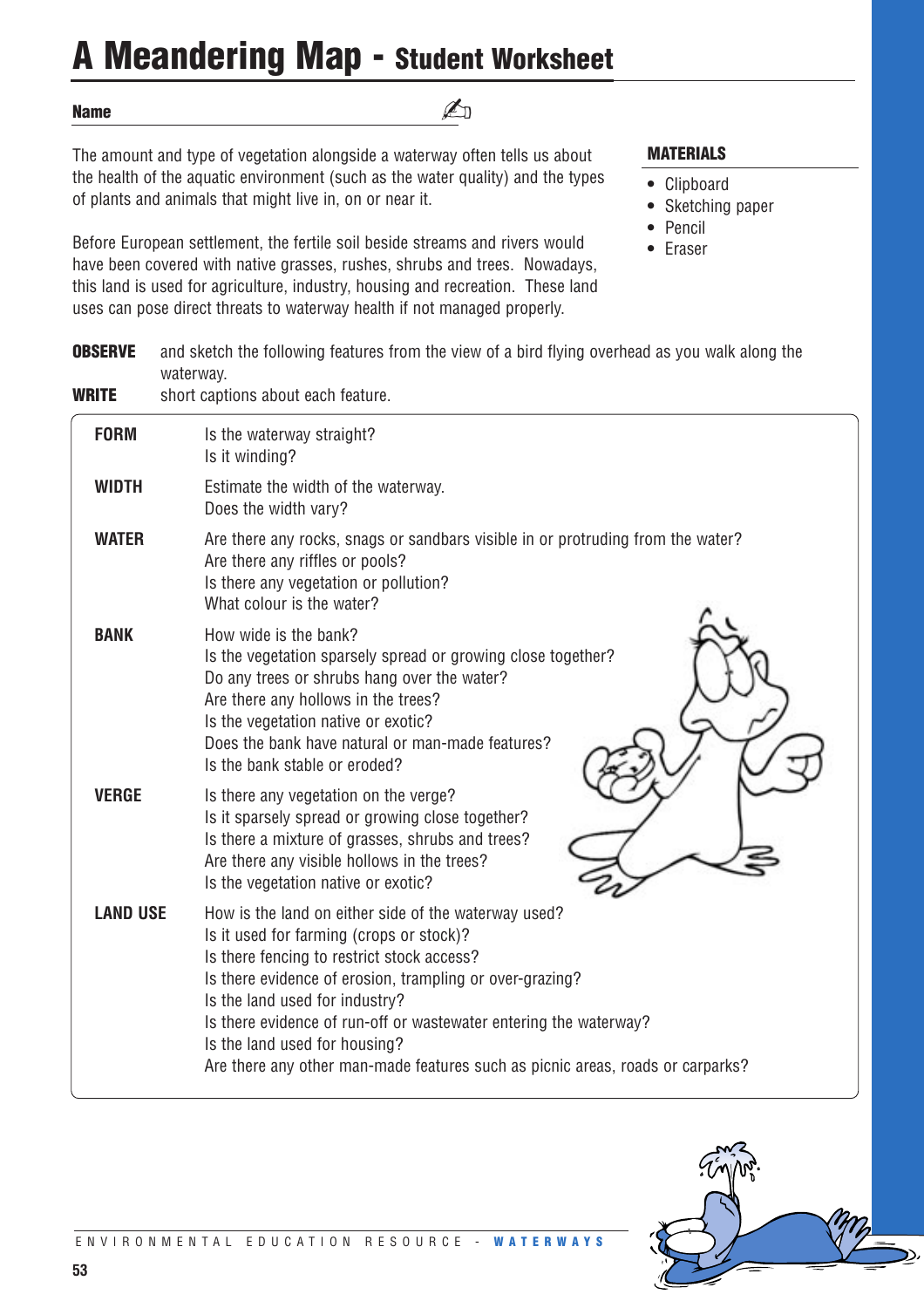# **A Meandering Map - Student Worksheet**

#### **Name**

✍

The amount and type of vegetation alongside a waterway often tells us about the health of the aquatic environment (such as the water quality) and the types of plants and animals that might live in, on or near it.

Before European settlement, the fertile soil beside streams and rivers would have been covered with native grasses, rushes, shrubs and trees. Nowadays, this land is used for agriculture, industry, housing and recreation. These land uses can pose direct threats to waterway health if not managed properly.

#### **MATERIALS**

- **•** Clipboard
- **•** Sketching paper
- **•** Pencil
- **•** Eraser

| <b>OBSERVE</b>  | and sketch the following features from the view of a bird flying overhead as you walk along the<br>waterway.                                                                                                                                                                                                                                                                                                                         |
|-----------------|--------------------------------------------------------------------------------------------------------------------------------------------------------------------------------------------------------------------------------------------------------------------------------------------------------------------------------------------------------------------------------------------------------------------------------------|
| <b>WRITE</b>    | short captions about each feature.                                                                                                                                                                                                                                                                                                                                                                                                   |
| <b>FORM</b>     | Is the waterway straight?<br>Is it winding?                                                                                                                                                                                                                                                                                                                                                                                          |
| <b>WIDTH</b>    | Estimate the width of the waterway.<br>Does the width vary?                                                                                                                                                                                                                                                                                                                                                                          |
| <b>WATER</b>    | Are there any rocks, snags or sandbars visible in or protruding from the water?<br>Are there any riffles or pools?<br>Is there any vegetation or pollution?<br>What colour is the water?                                                                                                                                                                                                                                             |
| <b>BANK</b>     | How wide is the bank?<br>Is the vegetation sparsely spread or growing close together?<br>Do any trees or shrubs hang over the water?<br>Are there any hollows in the trees?<br>Is the vegetation native or exotic?<br>Does the bank have natural or man-made features?<br>Is the bank stable or eroded?                                                                                                                              |
| <b>VERGE</b>    | Is there any vegetation on the verge?<br>Is it sparsely spread or growing close together?<br>Is there a mixture of grasses, shrubs and trees?<br>Are there any visible hollows in the trees?<br>Is the vegetation native or exotic?                                                                                                                                                                                                  |
| <b>LAND USE</b> | How is the land on either side of the waterway used?<br>Is it used for farming (crops or stock)?<br>Is there fencing to restrict stock access?<br>Is there evidence of erosion, trampling or over-grazing?<br>Is the land used for industry?<br>Is there evidence of run-off or wastewater entering the waterway?<br>Is the land used for housing?<br>Are there any other man-made features such as picnic areas, roads or carparks? |

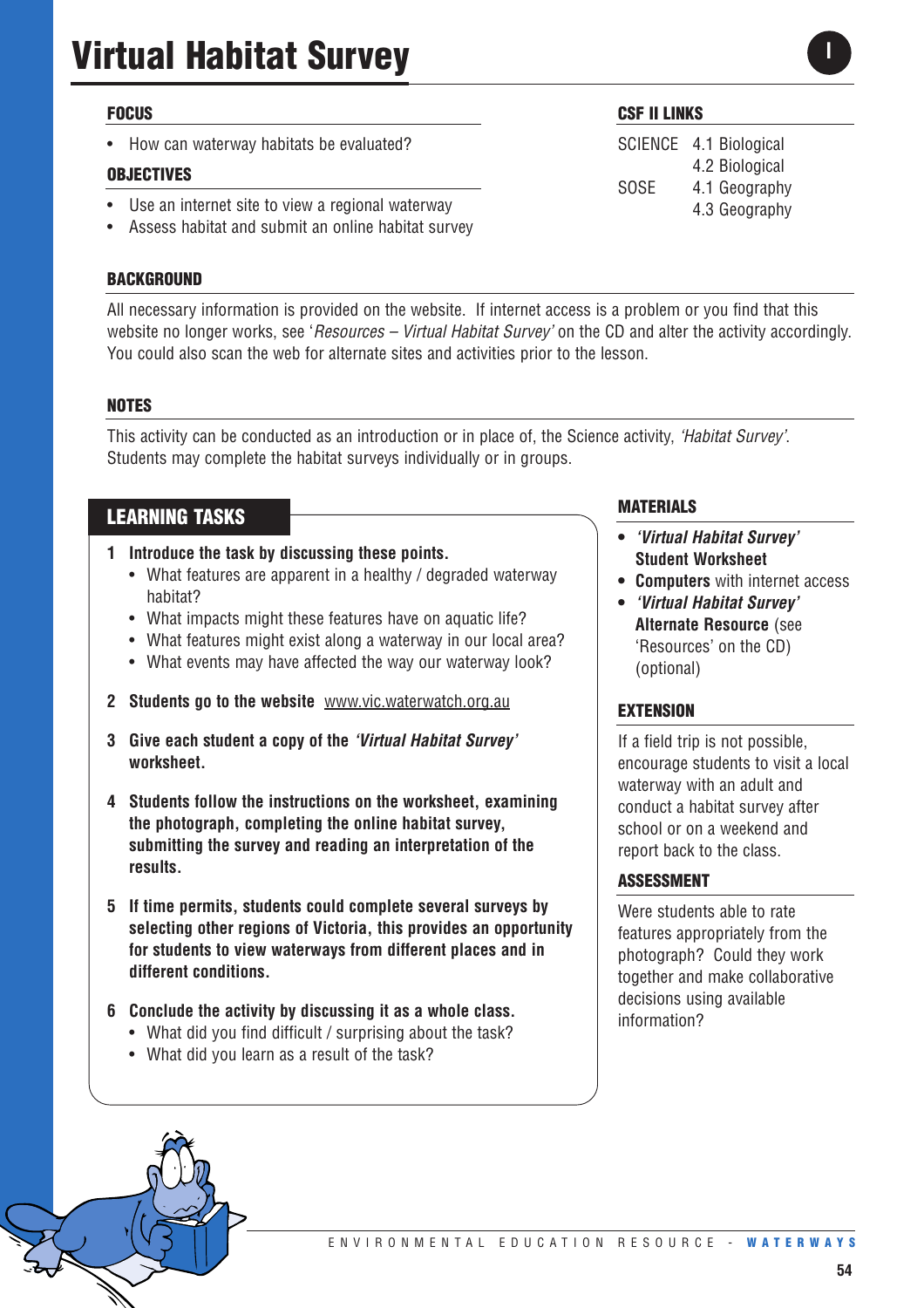#### **FOCUS**

• How can waterway habitats be evaluated?

#### **OBJECTIVES**

- Use an internet site to view a regional waterway
- Assess habitat and submit an online habitat survey

#### **BACKGROUND**

All necessary information is provided on the website. If internet access is a problem or you find that this website no longer works, see '*Resources – Virtual Habitat Survey'* on the CD and alter the activity accordingly. You could also scan the web for alternate sites and activities prior to the lesson.

#### **NOTES**

This activity can be conducted as an introduction or in place of, the Science activity, *'Habitat Survey'*. Students may complete the habitat surveys individually or in groups.

#### **LEARNING TASKS**

- **1 Introduce the task by discussing these points.** 
	- What features are apparent in a healthy / degraded waterway habitat?
	- What impacts might these features have on aquatic life?
	- What features might exist along a waterway in our local area?
	- What events may have affected the way our waterway look?
- **2 Students go to the website** www.vic.waterwatch.org.au
- **3 Give each student a copy of the** *'Virtual Habitat Survey'* **worksheet.**
- **4 Students follow the instructions on the worksheet, examining the photograph, completing the online habitat survey, submitting the survey and reading an interpretation of the results.**
- **5 If time permits, students could complete several surveys by selecting other regions of Victoria, this provides an opportunity for students to view waterways from different places and in different conditions.**
- **6 Conclude the activity by discussing it as a whole class.** 
	- What did you find difficult / surprising about the task?
	- What did you learn as a result of the task?

#### **MATERIALS**

- **•** *'Virtual Habitat Survey'* **Student Worksheet**
- **• Computers** with internet access
- **•** *'Virtual Habitat Survey'* **Alternate Resource** (see 'Resources' on the CD) (optional)

#### **EXTENSION**

If a field trip is not possible, encourage students to visit a local waterway with an adult and conduct a habitat survey after school or on a weekend and report back to the class.

#### **ASSESSMENT**

Were students able to rate features appropriately from the photograph? Could they work together and make collaborative decisions using available information?



SCIENCE 4.1 Biological 4.2 Biological SOSE 4.1 Geography 4.3 Geography

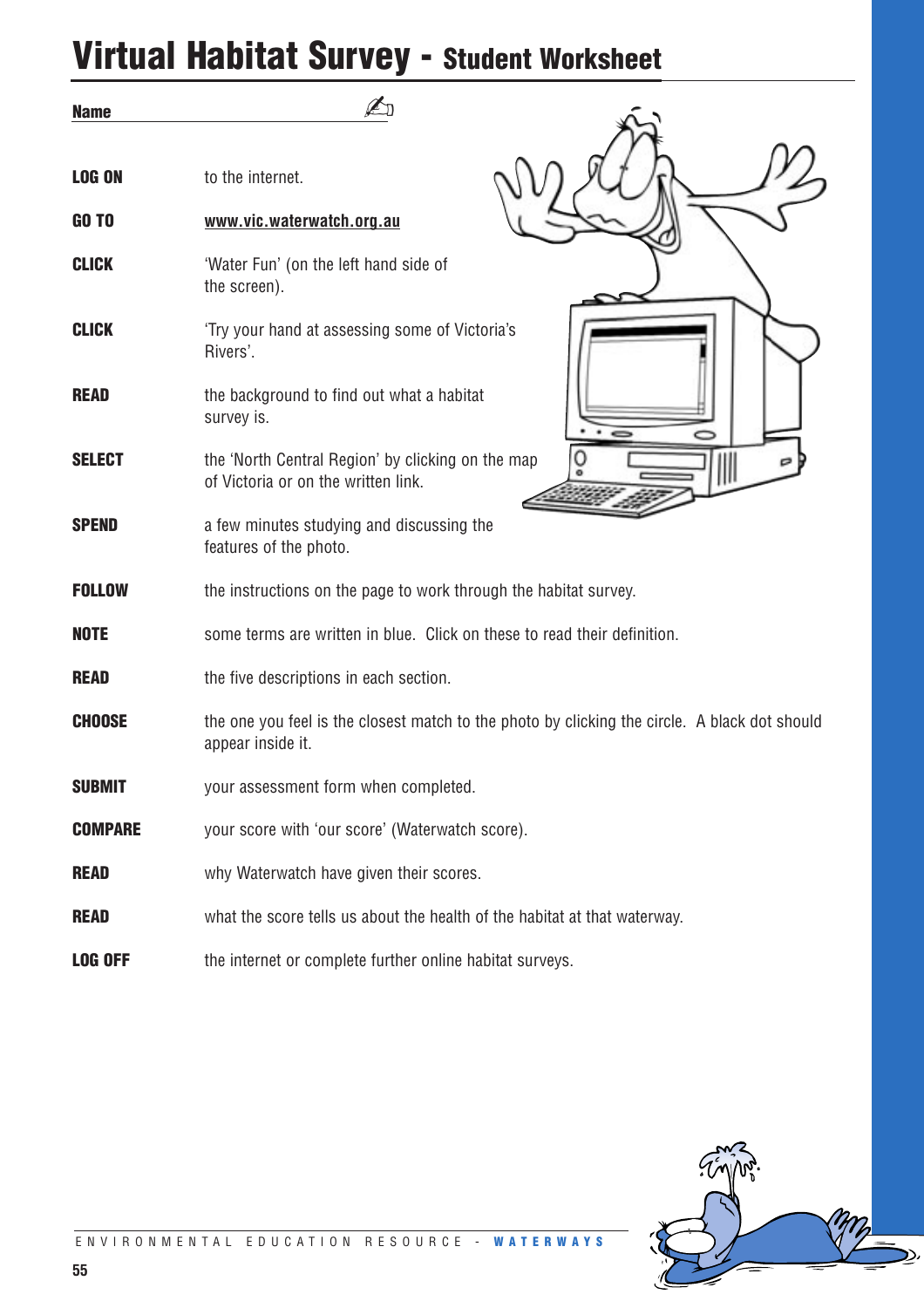# **Virtual Habitat Survey - Student Worksheet**

| <b>Name</b>    |                                                                                                                    |
|----------------|--------------------------------------------------------------------------------------------------------------------|
| <b>LOG ON</b>  | to the internet.                                                                                                   |
| <b>GO TO</b>   | www.vic.waterwatch.org.au                                                                                          |
| <b>CLICK</b>   | 'Water Fun' (on the left hand side of<br>the screen).                                                              |
| <b>CLICK</b>   | 'Try your hand at assessing some of Victoria's<br>Rivers'.                                                         |
| <b>READ</b>    | the background to find out what a habitat<br>survey is.                                                            |
| <b>SELECT</b>  | the 'North Central Region' by clicking on the map<br>of Victoria or on the written link.                           |
| <b>SPEND</b>   | a few minutes studying and discussing the<br>features of the photo.                                                |
| <b>FOLLOW</b>  | the instructions on the page to work through the habitat survey.                                                   |
| <b>NOTE</b>    | some terms are written in blue. Click on these to read their definition.                                           |
| <b>READ</b>    | the five descriptions in each section.                                                                             |
| <b>CHOOSE</b>  | the one you feel is the closest match to the photo by clicking the circle. A black dot should<br>appear inside it. |
| <b>SUBMIT</b>  | your assessment form when completed.                                                                               |
| <b>COMPARE</b> | your score with 'our score' (Waterwatch score).                                                                    |
| <b>READ</b>    | why Waterwatch have given their scores.                                                                            |
| <b>READ</b>    | what the score tells us about the health of the habitat at that waterway.                                          |
| <b>LOG OFF</b> | the internet or complete further online habitat surveys.                                                           |

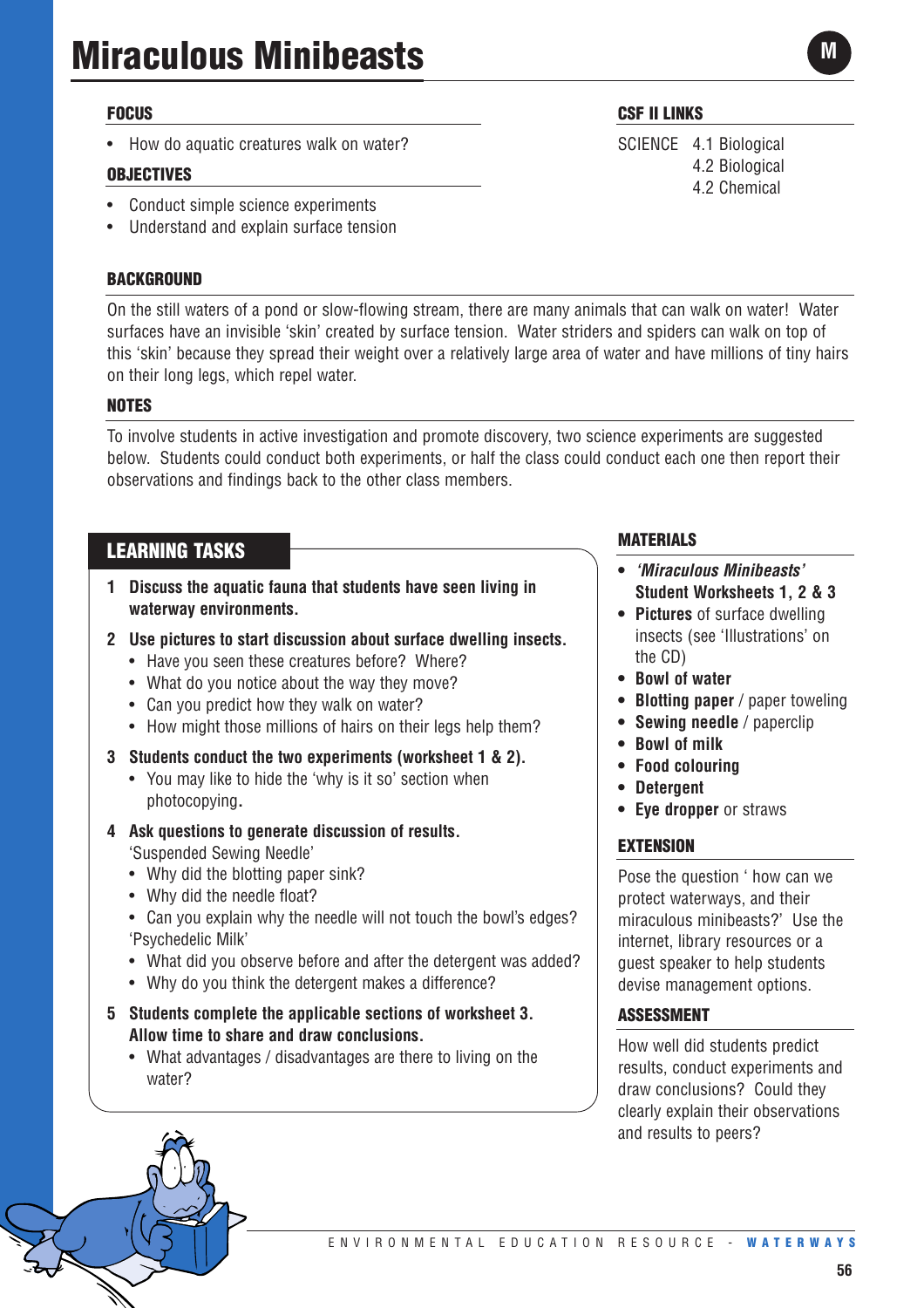#### **FOCUS**

• How do aquatic creatures walk on water?

#### **OBJECTIVES**

- Conduct simple science experiments
- Understand and explain surface tension

#### **BACKGROUND**

On the still waters of a pond or slow-flowing stream, there are many animals that can walk on water! Water surfaces have an invisible 'skin' created by surface tension. Water striders and spiders can walk on top of this 'skin' because they spread their weight over a relatively large area of water and have millions of tiny hairs on their long legs, which repel water.

#### **NOTES**

To involve students in active investigation and promote discovery, two science experiments are suggested below. Students could conduct both experiments, or half the class could conduct each one then report their observations and findings back to the other class members.

#### **LEARNING TASKS**

- **1 Discuss the aquatic fauna that students have seen living in waterway environments.**
- **2 Use pictures to start discussion about surface dwelling insects.**
	- Have you seen these creatures before? Where?
	- What do you notice about the way they move?
	- Can you predict how they walk on water?
	- How might those millions of hairs on their legs help them?
- **3 Students conduct the two experiments (worksheet 1 & 2).**
	- You may like to hide the 'why is it so' section when photocopying**.**
- **4 Ask questions to generate discussion of results.** 'Suspended Sewing Needle'
	- Why did the blotting paper sink?
	- Why did the needle float?
	- Can you explain why the needle will not touch the bowl's edges? 'Psychedelic Milk'
	- What did you observe before and after the detergent was added?
	- Why do you think the detergent makes a difference?
- **5 Students complete the applicable sections of worksheet 3. Allow time to share and draw conclusions.**
	- What advantages / disadvantages are there to living on the water?

#### **CSF II LINKS**

SCIENCE 4.1 Biological 4.2 Biological 4.2 Chemical

#### **MATERIALS**

- **•** *'Miraculous Minibeasts'* **Student Worksheets 1, 2 & 3**
- **Pictures** of surface dwelling insects (see 'Illustrations' on the CD)
- **• Bowl of water**
- **• Blotting paper** / paper toweling
- **• Sewing needle** / paperclip
- **• Bowl of milk**
- **• Food colouring**
- **• Detergent**
- **• Eye dropper** or straws

#### **EXTENSION**

Pose the question ' how can we protect waterways, and their miraculous minibeasts?' Use the internet, library resources or a guest speaker to help students devise management options.

#### **ASSESSMENT**

How well did students predict results, conduct experiments and draw conclusions? Could they clearly explain their observations and results to peers?

**M**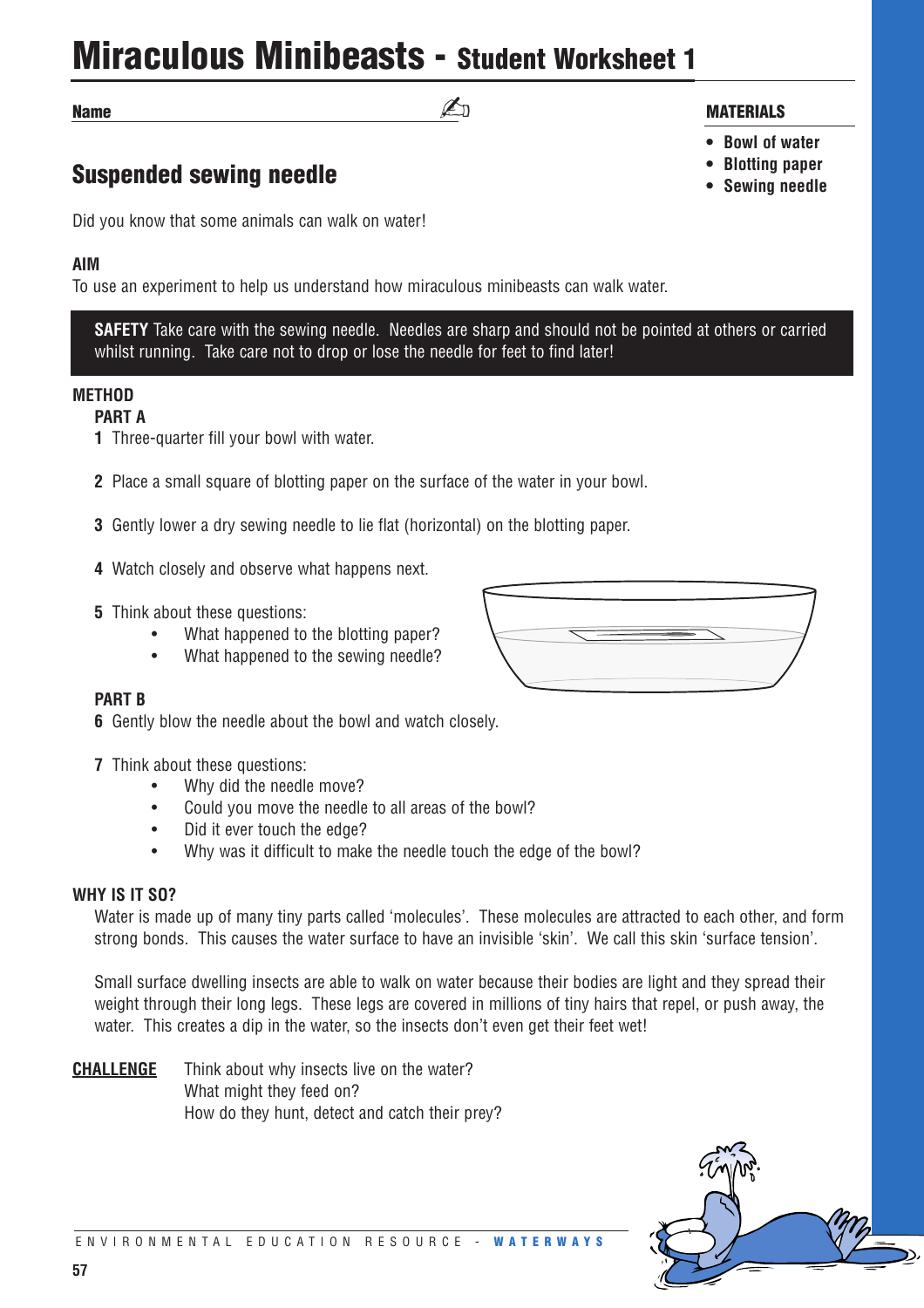### **Miraculous Minibeasts - Student Worksheet 1**

**Name**

### **Suspended sewing needle**

Did you know that some animals can walk on water!

#### **AIM**

To use an experiment to help us understand how miraculous minibeasts can walk water.

**SAFETY** Take care with the sewing needle. Needles are sharp and should not be pointed at others or carried whilst running. Take care not to drop or lose the needle for feet to find later!

#### **METHOD**

#### **PART A**

- **1** Three-quarter fill your bowl with water.
- **2** Place a small square of blotting paper on the surface of the water in your bowl.
- **3** Gently lower a dry sewing needle to lie flat (horizontal) on the blotting paper.
- **4** Watch closely and observe what happens next.
- **5** Think about these questions:
	- What happened to the blotting paper?
	- What happened to the sewing needle?

#### **PART B**

- **6** Gently blow the needle about the bowl and watch closely.
- **7** Think about these questions:
	- Why did the needle move?
	- Could you move the needle to all areas of the bowl?
	- Did it ever touch the edge?
	- Why was it difficult to make the needle touch the edge of the bowl?

#### **WHY IS IT SO?**

Water is made up of many tiny parts called 'molecules'. These molecules are attracted to each other, and form strong bonds. This causes the water surface to have an invisible 'skin'. We call this skin 'surface tension'.

Small surface dwelling insects are able to walk on water because their bodies are light and they spread their weight through their long legs. These legs are covered in millions of tiny hairs that repel, or push away, the water. This creates a dip in the water, so the insects don't even get their feet wet!

**CHALLENGE** Think about why insects live on the water? What might they feed on? How do they hunt, detect and catch their prey?



### ✍ **MATERIALS**

- **• Bowl of water**
- **• Blotting paper**
- **• Sewing needle**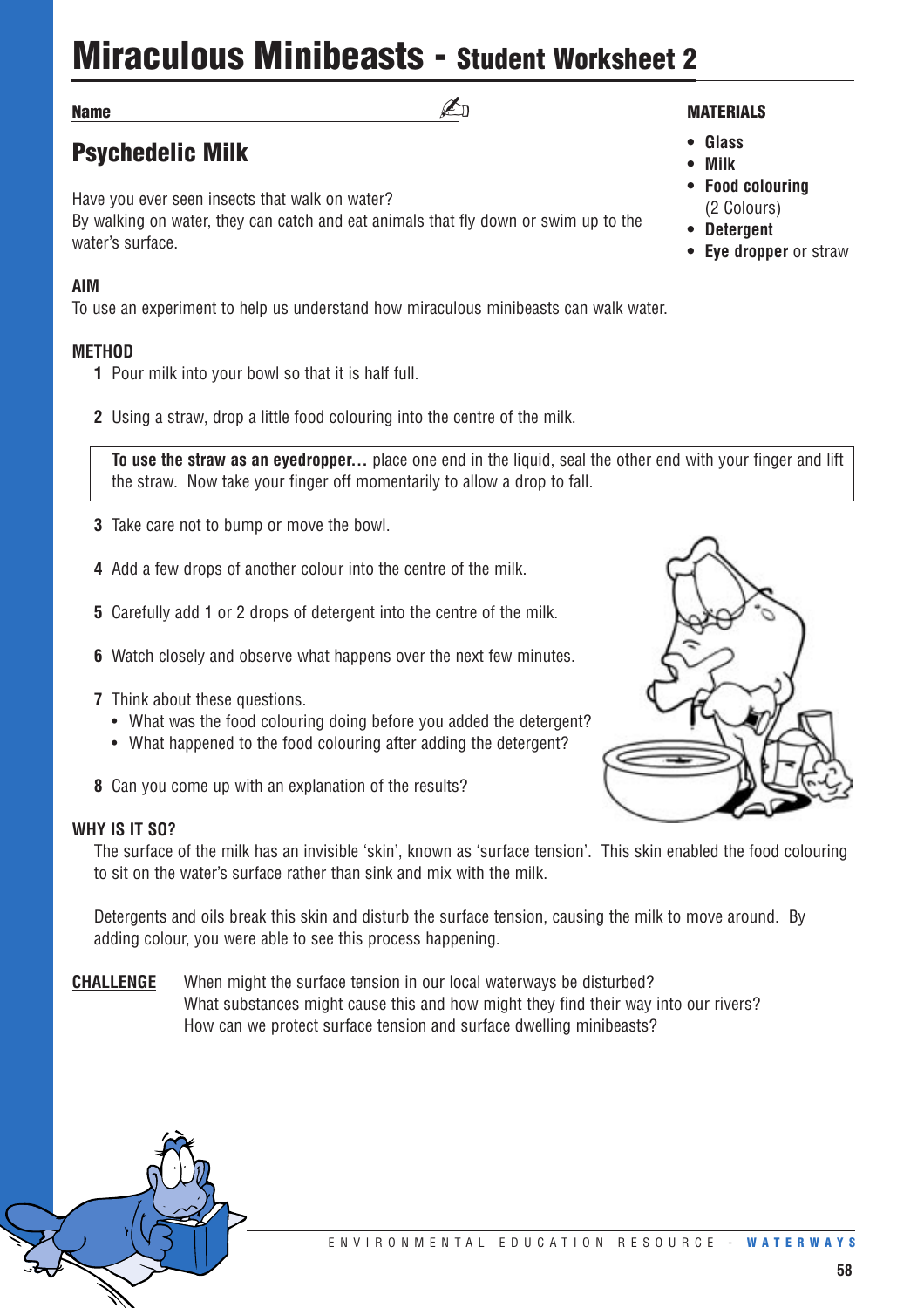# **Miraculous Minibeasts - Student Worksheet 2**

 $\mathbb{Z}_{\Pi}$ 

#### **Name**

### **Psychedelic Milk**

Have you ever seen insects that walk on water? By walking on water, they can catch and eat animals that fly down or swim up to the water's surface.

#### **AIM**

To use an experiment to help us understand how miraculous minibeasts can walk water.

#### **METHOD**

- **1** Pour milk into your bowl so that it is half full.
- **2** Using a straw, drop a little food colouring into the centre of the milk.

**To use the straw as an eyedropper...** place one end in the liquid, seal the other end with your finger and lift the straw. Now take your finger off momentarily to allow a drop to fall.

- **3** Take care not to bump or move the bowl.
- **4** Add a few drops of another colour into the centre of the milk.
- **5** Carefully add 1 or 2 drops of detergent into the centre of the milk.
- **6** Watch closely and observe what happens over the next few minutes.
- **7** Think about these questions.
	- What was the food colouring doing before you added the detergent?
	- What happened to the food colouring after adding the detergent?
- **8** Can you come up with an explanation of the results?

#### **WHY IS IT SO?**

The surface of the milk has an invisible 'skin', known as 'surface tension'. This skin enabled the food colouring to sit on the water's surface rather than sink and mix with the milk.

Detergents and oils break this skin and disturb the surface tension, causing the milk to move around. By adding colour, you were able to see this process happening.

**CHALLENGE** When might the surface tension in our local waterways be disturbed? What substances might cause this and how might they find their way into our rivers? How can we protect surface tension and surface dwelling minibeasts?

#### **MATERIALS**

- **Glass**
- **• Milk**
- **• Food colouring**  (2 Colours)
- **• Detergent**
- **• Eye dropper** or straw

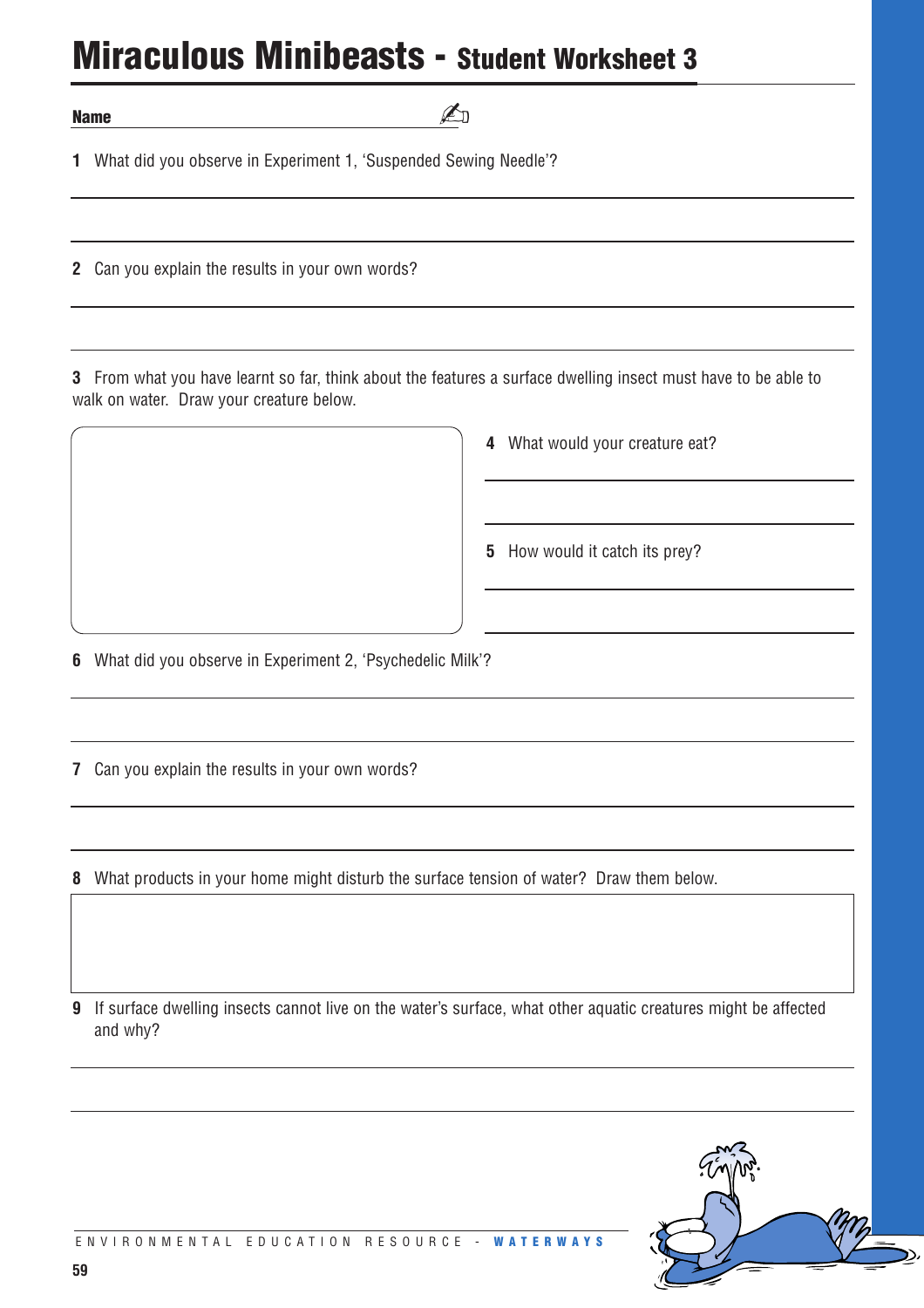### **Miraculous Minibeasts - Student Worksheet 3**

**Name**

What did you observe in Experiment 1, 'Suspended Sewing Needle'?

Can you explain the results in your own words?

 From what you have learnt so far, think about the features a surface dwelling insect must have to be able to walk on water. Draw your creature below.

✍

What would your creature eat?

How would it catch its prey?

What did you observe in Experiment 2, 'Psychedelic Milk'?

Can you explain the results in your own words?

What products in your home might disturb the surface tension of water? Draw them below.

 If surface dwelling insects cannot live on the water's surface, what other aquatic creatures might be affected and why?

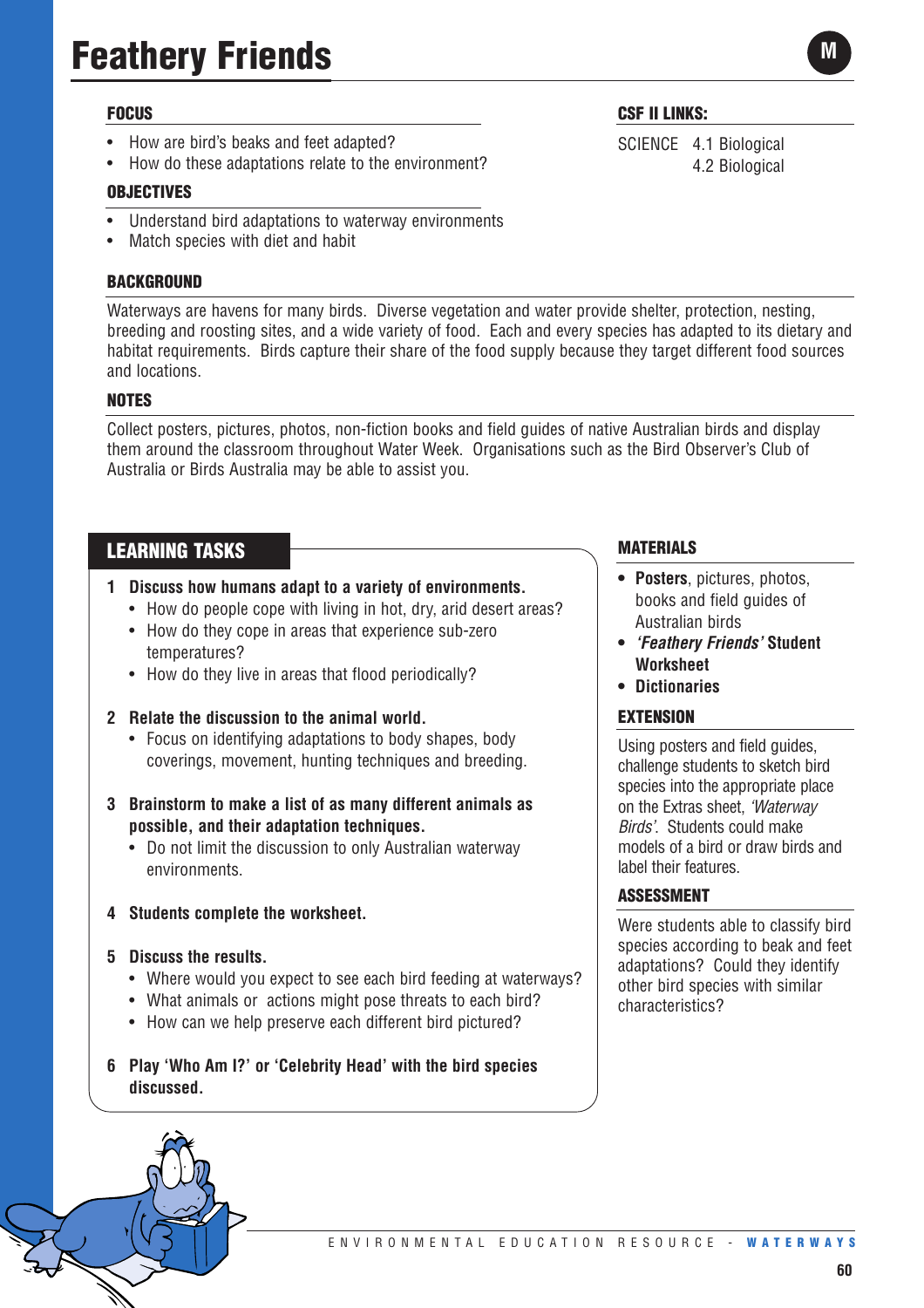# **Feathery Friends**

#### **FOCUS**

- How are bird's beaks and feet adapted?
- How do these adaptations relate to the environment?

#### **OBJECTIVES**

- Understand bird adaptations to waterway environments
- Match species with diet and habit

#### **BACKGROUND**

Waterways are havens for many birds. Diverse vegetation and water provide shelter, protection, nesting, breeding and roosting sites, and a wide variety of food. Each and every species has adapted to its dietary and habitat requirements. Birds capture their share of the food supply because they target different food sources and locations.

#### **NOTES**

Collect posters, pictures, photos, non-fiction books and field guides of native Australian birds and display them around the classroom throughout Water Week. Organisations such as the Bird Observer's Club of Australia or Birds Australia may be able to assist you.

#### **LEARNING TASKS**

- **1 Discuss how humans adapt to a variety of environments.** 
	- How do people cope with living in hot, dry, arid desert areas?
	- How do they cope in areas that experience sub-zero temperatures?
	- How do they live in areas that flood periodically?
- **2 Relate the discussion to the animal world.** 
	- Focus on identifying adaptations to body shapes, body coverings, movement, hunting techniques and breeding.
- **3 Brainstorm to make a list of as many different animals as possible, and their adaptation techniques.** 
	- Do not limit the discussion to only Australian waterway environments.
- **4 Students complete the worksheet.**
- **5 Discuss the results.** 
	- Where would you expect to see each bird feeding at waterways?
	- What animals or actions might pose threats to each bird?
	- How can we help preserve each different bird pictured?
- **6 Play 'Who Am I?' or 'Celebrity Head' with the bird species discussed.**

#### **MATERIALS**

- **• Posters**, pictures, photos, books and field guides of Australian birds
- **•** *'Feathery Friends'* **Student Worksheet**
- **• Dictionaries**

#### **EXTENSION**

Using posters and field guides, challenge students to sketch bird species into the appropriate place on the Extras sheet, *'Waterway Birds'*. Students could make models of a bird or draw birds and label their features.

#### **ASSESSMENT**

Were students able to classify bird species according to beak and feet adaptations? Could they identify other bird species with similar characteristics?

**CSF II LINKS:**

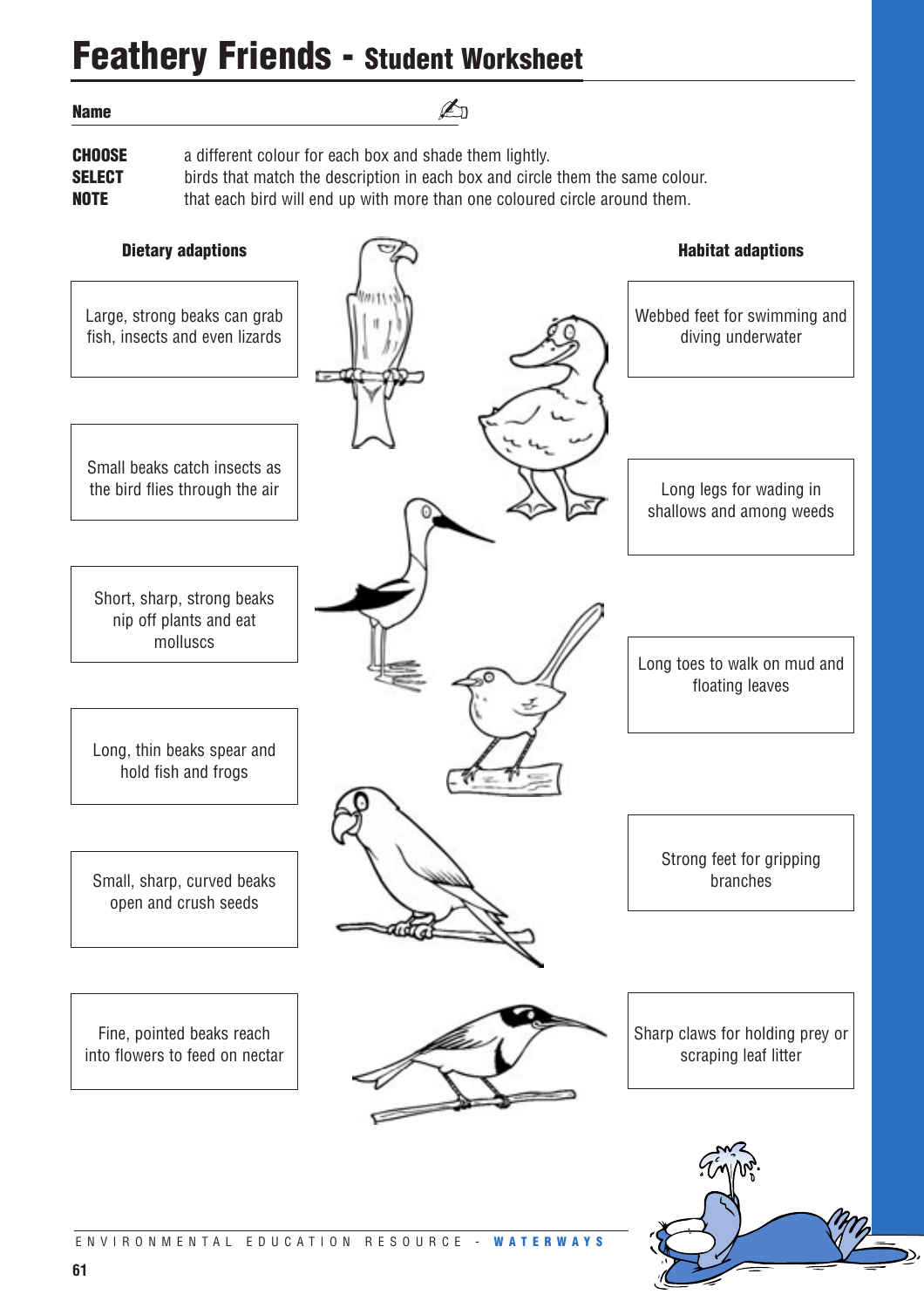### **Feathery Friends - Student Worksheet**

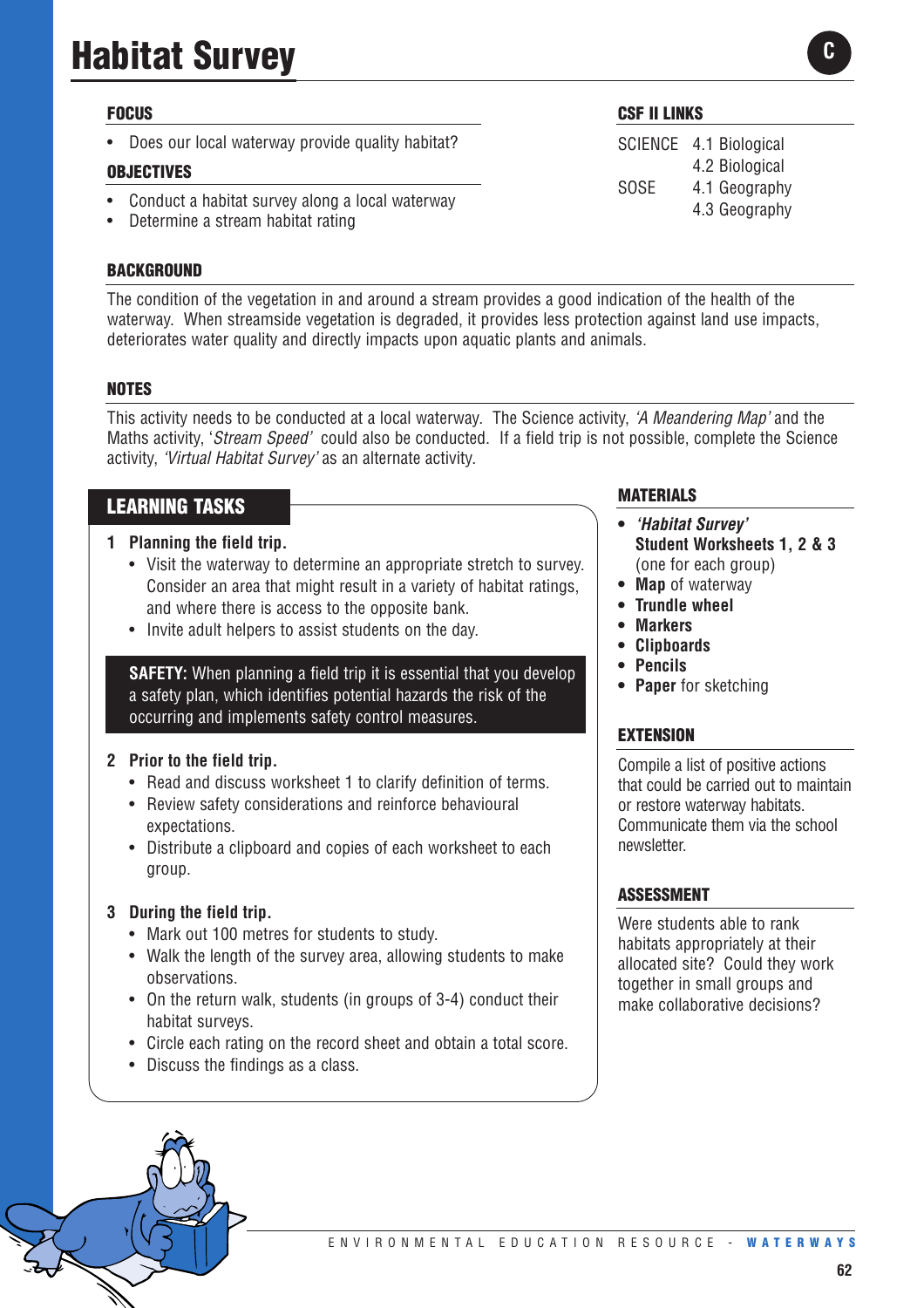# **Habitat Survey**

#### **FOCUS**

• Does our local waterway provide quality habitat?

#### **OBJECTIVES**

- Conduct a habitat survey along a local waterway
- Determine a stream habitat rating

#### **BACKGROUND**

The condition of the vegetation in and around a stream provides a good indication of the health of the waterway. When streamside vegetation is degraded, it provides less protection against land use impacts, deteriorates water quality and directly impacts upon aquatic plants and animals.

#### **NOTES**

This activity needs to be conducted at a local waterway. The Science activity, *'A Meandering Map'* and the Maths activity, '*Stream Speed'* could also be conducted. If a field trip is not possible, complete the Science activity, *'Virtual Habitat Survey'* as an alternate activity.

#### **LEARNING TASKS**

#### **1 Planning the field trip.**

- Visit the waterway to determine an appropriate stretch to survey. Consider an area that might result in a variety of habitat ratings, and where there is access to the opposite bank.
- Invite adult helpers to assist students on the day.

**SAFETY:** When planning a field trip it is essential that you develop a safety plan, which identifies potential hazards the risk of the occurring and implements safety control measures.

#### **2 Prior to the field trip.**

- Read and discuss worksheet 1 to clarify definition of terms.
- Review safety considerations and reinforce behavioural expectations.
- Distribute a clipboard and copies of each worksheet to each group.

#### **3 During the field trip.**

- Mark out 100 metres for students to study.
- Walk the length of the survey area, allowing students to make observations.
- On the return walk, students (in groups of 3-4) conduct their habitat surveys.
- Circle each rating on the record sheet and obtain a total score.
- Discuss the findings as a class.

#### **MATERIALS**

- **•** *'Habitat Survey'* **Student Worksheets 1, 2 & 3** (one for each group)
- **Map** of waterway
- **Trundle wheel**
- **• Markers**
- **• Clipboards**
- **• Pencils**
- **• Paper** for sketching

#### **EXTENSION**

Compile a list of positive actions that could be carried out to maintain or restore waterway habitats. Communicate them via the school newsletter.

#### **ASSESSMENT**

Were students able to rank habitats appropriately at their allocated site? Could they work together in small groups and make collaborative decisions?





SCIENCE 4.1 Biological 4.2 Biological SOSE 4.1 Geography 4.3 Geography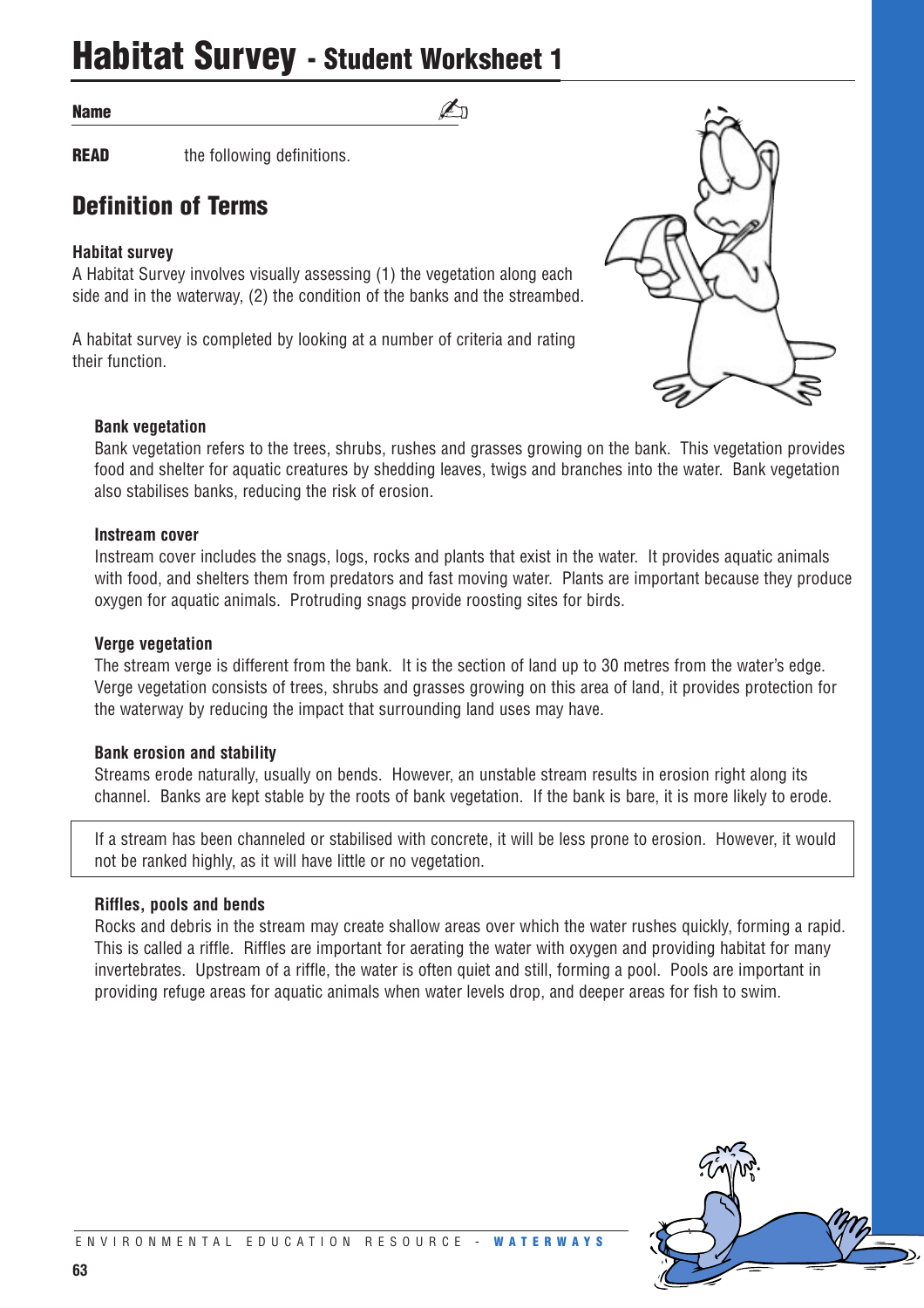### **Habitat Survey - Student Worksheet 1**

#### **Name**

**READ** the following definitions.

### **Definition of Terms**

#### **Habitat survey**

A Habitat Survey involves visually assessing (1) the vegetation along each side and in the waterway, (2) the condition of the banks and the streambed.

A habitat survey is completed by looking at a number of criteria and rating their function.



#### **Bank vegetation**

Bank vegetation refers to the trees, shrubs, rushes and grasses growing on the bank. This vegetation provides food and shelter for aquatic creatures by shedding leaves, twigs and branches into the water. Bank vegetation also stabilises banks, reducing the risk of erosion.

 $\n *\lambda*$ 

#### **Instream cover**

Instream cover includes the snags, logs, rocks and plants that exist in the water. It provides aquatic animals with food, and shelters them from predators and fast moving water. Plants are important because they produce oxygen for aquatic animals. Protruding snags provide roosting sites for birds.

#### **Verge vegetation**

The stream verge is different from the bank. It is the section of land up to 30 metres from the water's edge. Verge vegetation consists of trees, shrubs and grasses growing on this area of land, it provides protection for the waterway by reducing the impact that surrounding land uses may have.

#### **Bank erosion and stability**

Streams erode naturally, usually on bends. However, an unstable stream results in erosion right along its channel. Banks are kept stable by the roots of bank vegetation. If the bank is bare, it is more likely to erode.

If a stream has been channeled or stabilised with concrete, it will be less prone to erosion. However, it would not be ranked highly, as it will have little or no vegetation.

#### **Riffles, pools and bends**

Rocks and debris in the stream may create shallow areas over which the water rushes quickly, forming a rapid. This is called a riffle. Riffles are important for aerating the water with oxygen and providing habitat for many invertebrates. Upstream of a riffle, the water is often quiet and still, forming a pool. Pools are important in providing refuge areas for aquatic animals when water levels drop, and deeper areas for fish to swim.

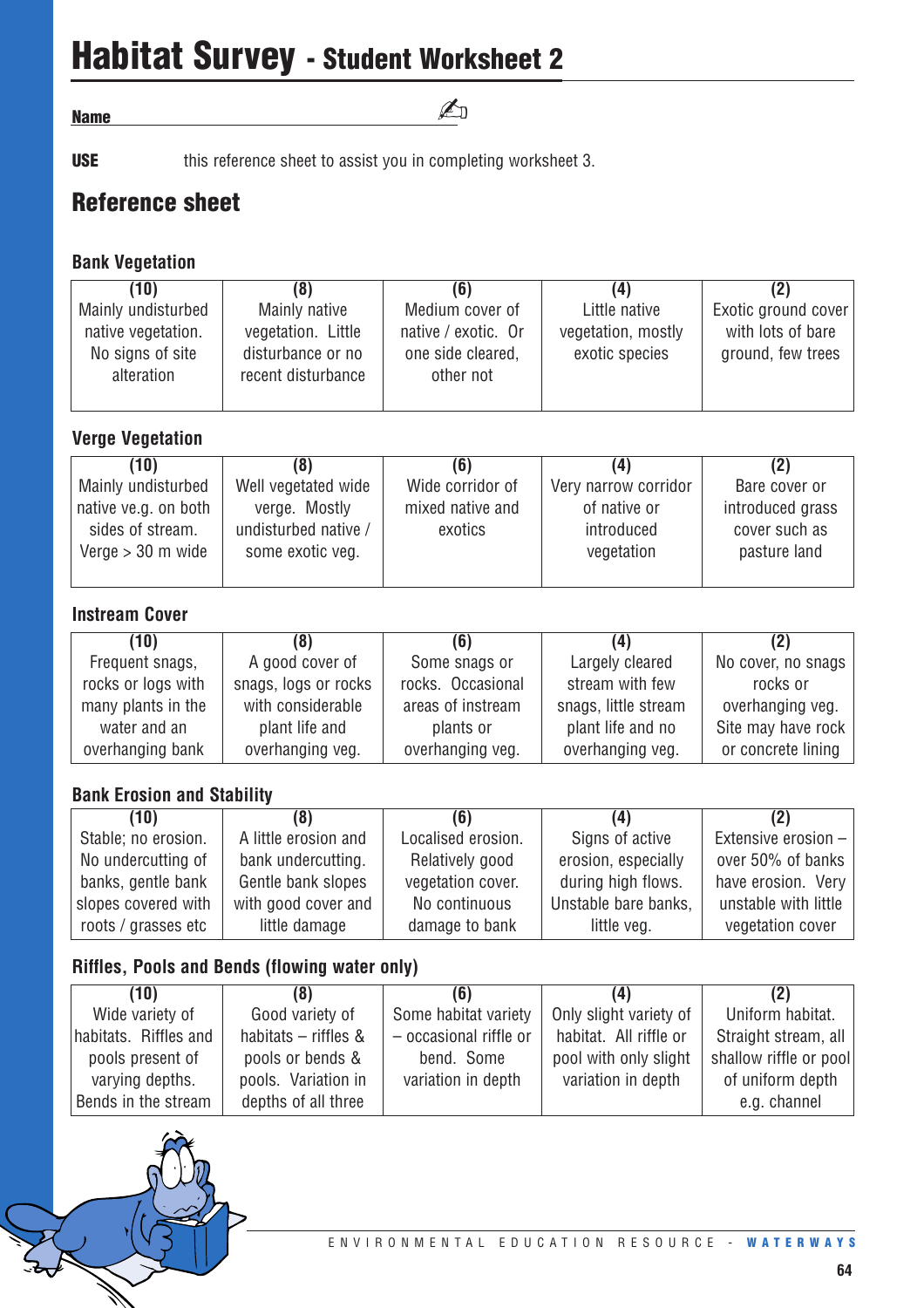# **Habitat Survey - Student Worksheet 2**

**Name**

**USE** this reference sheet to assist you in completing worksheet 3.

### **Reference sheet**

#### **Bank Vegetation**

| (10)                                   | (8)                                     |                                          | (4)                                  | (2)                                    |
|----------------------------------------|-----------------------------------------|------------------------------------------|--------------------------------------|----------------------------------------|
| Mainly undisturbed                     | Mainly native                           | Medium cover of                          | Little native                        | Exotic ground cover                    |
| native vegetation.<br>No signs of site | vegetation. Little<br>disturbance or no | native / exotic. Or<br>one side cleared, | vegetation, mostly<br>exotic species | with lots of bare<br>ground, few trees |
| alteration                             | recent disturbance                      | other not                                |                                      |                                        |

✍

### **Verge Vegetation**

| (8)                  | (6)              | (4)                  |                  |
|----------------------|------------------|----------------------|------------------|
| Well vegetated wide  | Wide corridor of | Very narrow corridor | Bare cover or    |
| verge. Mostly        | mixed native and | of native or         | introduced grass |
| undisturbed native / | exotics          | introduced           | cover such as    |
| some exotic veg.     |                  | vegetation           | pasture land     |
|                      |                  |                      |                  |
|                      |                  |                      |                  |

#### **Instream Cover**

| (10)               | (8)                  | (6)               | (4)                  | (2)                |
|--------------------|----------------------|-------------------|----------------------|--------------------|
| Frequent snags,    | A good cover of      | Some snags or     | Largely cleared      | No cover, no snags |
| rocks or logs with | snags, logs or rocks | rocks. Occasional | stream with few      | rocks or           |
| many plants in the | with considerable    | areas of instream | snags, little stream | overhanging veg.   |
| water and an       | plant life and       | plants or         | plant life and no    | Site may have rock |
| overhanging bank   | overhanging veg.     | overhanging veg.  | overhanging veg.     | or concrete lining |

### **Bank Erosion and Stability**

| (10)                | (8)                  | (6)                | (4)                  | (2)                  |
|---------------------|----------------------|--------------------|----------------------|----------------------|
| Stable; no erosion. | A little erosion and | Localised erosion. | Signs of active      | Extensive erosion -  |
| No undercutting of  | bank undercutting.   | Relatively good    | erosion, especially  | over 50% of banks    |
| banks, gentle bank  | Gentle bank slopes   | vegetation cover.  | during high flows.   | have erosion. Very   |
| slopes covered with | with good cover and  | No continuous      | Unstable bare banks, | unstable with little |
| roots / grasses etc | little damage        | damage to bank     | little veg.          | vegetation cover     |

#### **Riffles, Pools and Bends (flowing water only)**

| (10)                  | (8)                  | (6)                    | (4)                    | (2)                    |
|-----------------------|----------------------|------------------------|------------------------|------------------------|
| Wide variety of       | Good variety of      | Some habitat variety   | Only slight variety of | Uniform habitat.       |
| habitats. Riffles and | habitats - riffles & | - occasional riffle or | habitat. All riffle or | Straight stream, all   |
| pools present of      | pools or bends &     | bend. Some             | pool with only slight  | shallow riffle or pool |
| varying depths.       | pools. Variation in  | variation in depth     | variation in depth     | of uniform depth       |
| Bends in the stream   | depths of all three  |                        |                        | e.g. channel           |

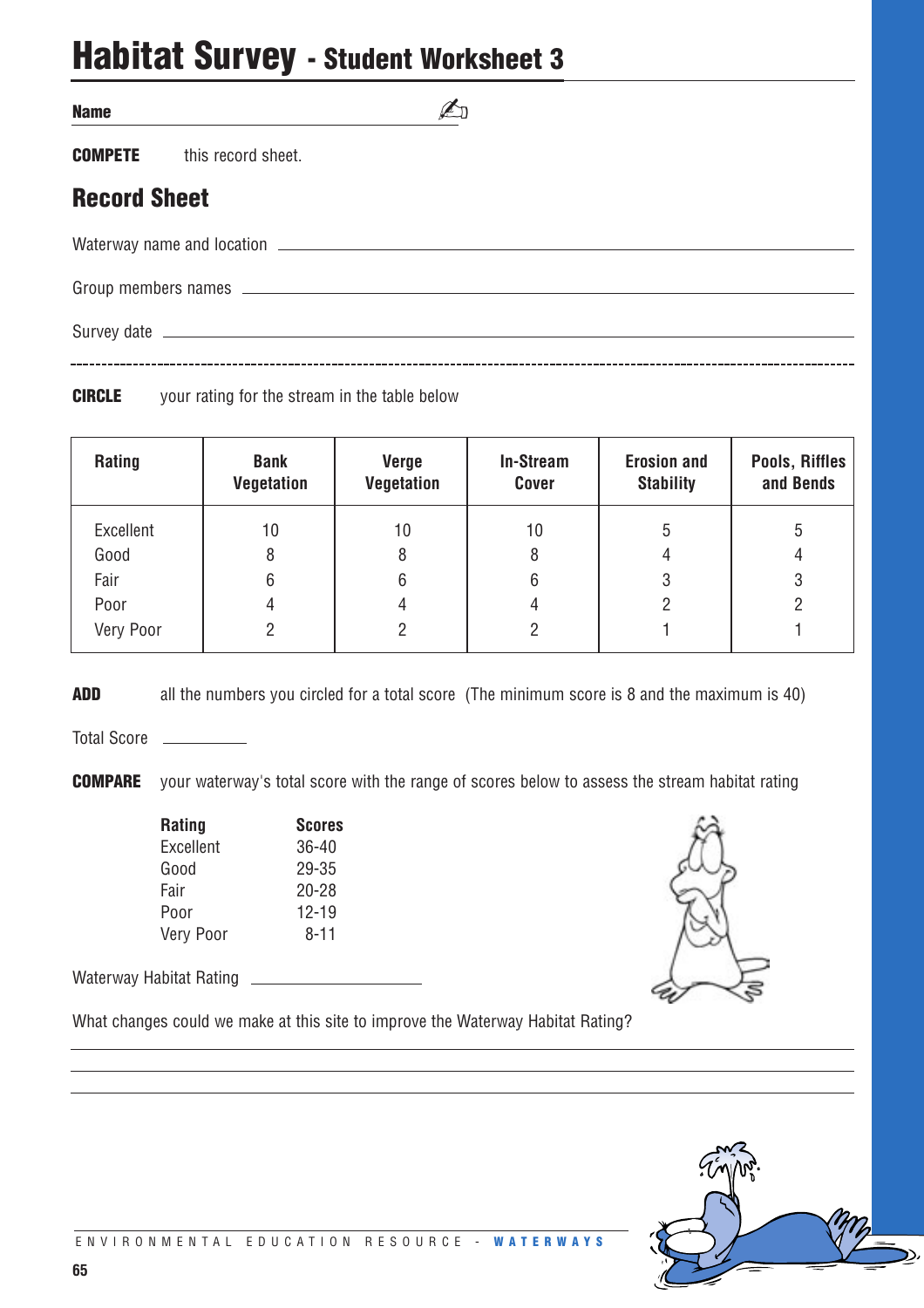### **Habitat Survey - Student Worksheet 3**

**COMPETE** this record sheet.

### **Record Sheet**

Waterway name and location

Group members names

Survey date

**CIRCLE** your rating for the stream in the table below

| Rating    | <b>Bank</b><br><b>Vegetation</b> | <b>Verge</b><br><b>Vegetation</b> | <b>In-Stream</b><br><b>Cover</b> | <b>Erosion and</b><br><b>Stability</b> | Pools, Riffles<br>and Bends |
|-----------|----------------------------------|-----------------------------------|----------------------------------|----------------------------------------|-----------------------------|
| Excellent | 10                               | 10                                | 10                               | 5                                      | 5                           |
| Good      | 8                                | 8                                 | 8                                | 4                                      | 4                           |
| Fair      | 6                                | 6                                 | 6                                | 3                                      | 3                           |
| Poor      |                                  | 4                                 | 4                                |                                        | $\overline{2}$              |
| Very Poor | 2                                | 2                                 | 2                                |                                        |                             |

✍

**ADD** all the numbers you circled for a total score (The minimum score is 8 and the maximum is 40)

Total Score \_\_\_\_\_\_\_\_\_\_

**COMPARE** your waterway's total score with the range of scores below to assess the stream habitat rating

| <b>Rating</b> | <b>Scores</b> |
|---------------|---------------|
| Excellent     | $36 - 40$     |
| Good          | 29-35         |
| Fair          | $20 - 28$     |
| Poor          | $12 - 19$     |
| Very Poor     | $8 - 11$      |

Waterway Habitat Rating

What changes could we make at this site to improve the Waterway Habitat Rating?